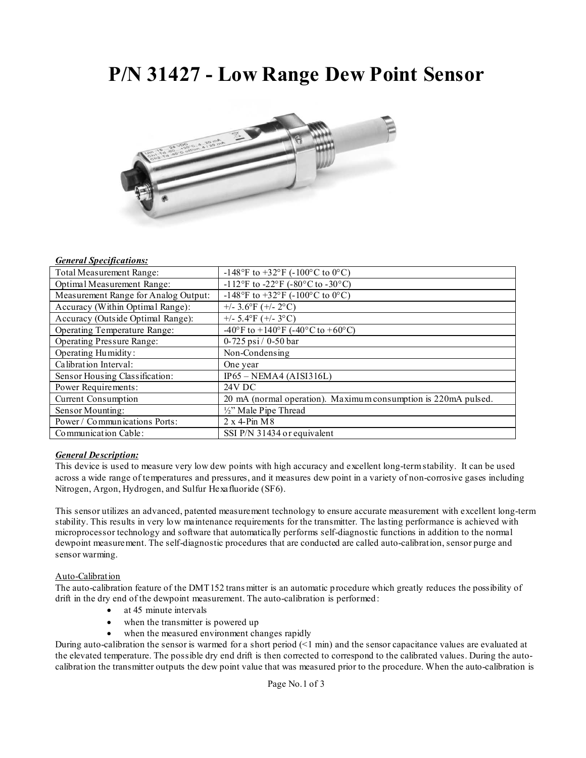# **P/N 31427 - Low Range Dew Point Sensor**



#### *General Specifications:*

| Total Measurement Range:             | -148°F to +32°F (-100°C to 0°C)                                |
|--------------------------------------|----------------------------------------------------------------|
| Optimal Measurement Range:           | -112°F to -22°F (-80°C to -30°C)                               |
| Measurement Range for Analog Output: | -148°F to +32°F (-100°C to 0°C)                                |
| Accuracy (Within Optimal Range):     | $+/- 3.6$ °F (+/- 2°C)                                         |
| Accuracy (Outside Optimal Range):    | $+/- 5.4$ °F (+/-3°C)                                          |
| Operating Temperature Range:         | -40°F to +140°F (-40°C to +60°C)                               |
| <b>Operating Pressure Range:</b>     | $0 - 725$ psi $/ 0 - 50$ bar                                   |
| Operating Humidity:                  | Non-Condensing                                                 |
| Calibration Interval:                | One year                                                       |
| Sensor Housing Classification:       | $IP65 - NEMA4 (AISI316L)$                                      |
| Power Requirements:                  | <b>24V DC</b>                                                  |
| <b>Current Consumption</b>           | 20 mA (normal operation). Maximum consumption is 220mA pulsed. |
| Sensor Mounting:                     | $\frac{1}{2}$ " Male Pipe Thread                               |
| Power / Communications Ports:        | $2 \times 4$ -Pin M $8$                                        |
| Communication Cable:                 | SSI P/N 31434 or equivalent                                    |

# *General Description:*

This device is used to measure very low dew points with high accuracy and excellent long-term stability. It can be used across a wide range of temperatures and pressures, and it measures dew point in a variety of non-corrosive gases including Nitrogen, Argon, Hydrogen, and Sulfur Hexafluoride (SF6).

This sensor utilizes an advanced, patented measurement technology to ensure accurate measurement with excellent long-term stability. This results in very low maintenance requirements for the transmitter. The lasting performance is achieved with microprocessor technology and software that automatically performs self-diagnostic functions in addition to the normal dewpoint measurement. The self-diagnostic procedures that are conducted are called auto-calibration, sensor purge and sensor warming.

# Auto-Calibration

The auto-calibration feature of the DMT152 trans mitter is an automatic procedure which greatly reduces the possibility of drift in the dry end of the dewpoint measurement. The auto-calibration is performed:

- at 45 minute intervals
- when the transmitter is powered up
- when the measured environment changes rapidly

During auto-calibration the sensor is warmed for a short period (<1 min) and the sensor capacitance values are evaluated at the elevated temperature. The possible dry end drift is then corrected to correspond to the calibrated values. During the autocalibration the transmitter outputs the dew point value that was measured prior to the procedure. When the auto-calibration is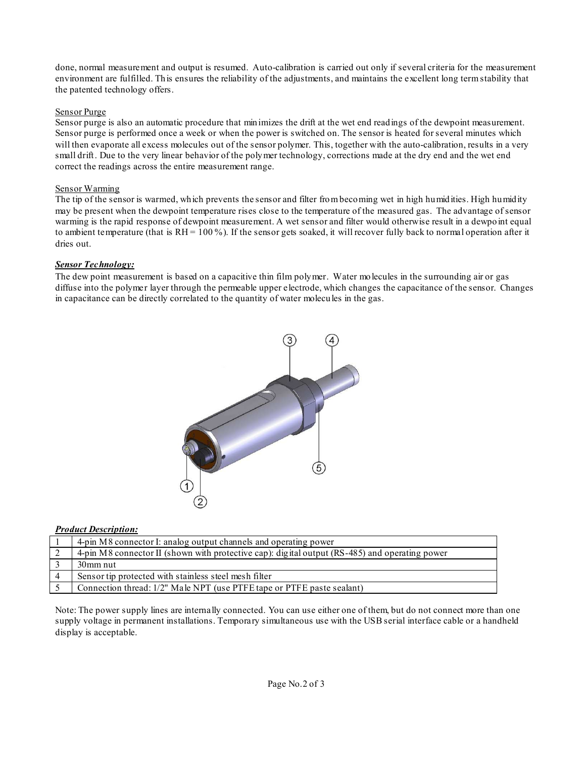done, normal measurement and output is resumed. Auto-calibration is carried out only if several criteria for the measurement environment are fulfilled. This ensures the reliability of the adjustments, and maintains the excellent long term stability that the patented technology offers.

# Sensor Purge

Sensor purge is also an automatic procedure that minimizes the drift at the wet end readings of the dewpoint measurement. Sensor purge is performed once a week or when the power is switched on. The sensor is heated for several minutes which will then evaporate all excess molecules out of the sensor polymer. This, together with the auto-calibration, results in a very small drift. Due to the very linear behavior of the polymer technology, corrections made at the dry end and the wet end correct the readings across the entire measurement range.

# Sensor Warming

The tip of the sensor is warmed, which prevents the sensor and filter from becoming wet in high humidities. High humidity may be present when the dewpoint temperature rises close to the temperature of the measured gas. The advantage of sensor warming is the rapid response of dewpoint measurement. A wet sensor and filter would otherwise result in a dewpoint equal to ambient temperature (that is  $RH = 100\%$ ). If the sensor gets soaked, it will recover fully back to normal operation after it dries out.

# *Sensor Technology:*

The dew point measurement is based on a capacitive thin film polymer. Water molecules in the surrounding air or gas diffuse into the polymer layer through the permeable upper electrode, which changes the capacitance of the sensor. Changes in capacitance can be directly correlated to the quantity of water molecules in the gas.



# *Product Description:*

| 4-pin M8 connector I: analog output channels and operating power                               |
|------------------------------------------------------------------------------------------------|
| 4-pin M8 connector II (shown with protective cap): digital output (RS-485) and operating power |
| 30mm nut                                                                                       |
| Sensor tip protected with stainless steel mesh filter                                          |
| Connection thread: 1/2" Male NPT (use PTFE tape or PTFE paste sealant)                         |

Note: The power supply lines are internally connected. You can use either one of them, but do not connect more than one supply voltage in permanent installations. Temporary simultaneous use with the USB serial interface cable or a handheld display is acceptable.